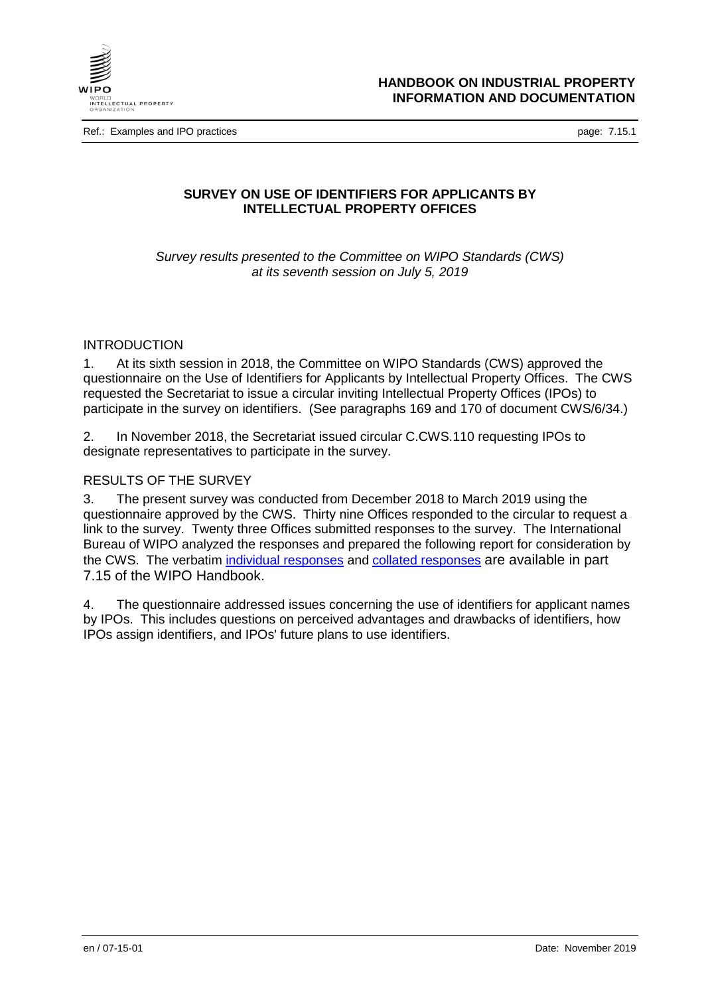

Ref.: Examples and IPO practices **page: 7.15.1** and intervals and intervals and intervals and intervals and intervals and intervals and intervals and intervals and intervals and intervals and intervals and intervals and in

# **SURVEY ON USE OF IDENTIFIERS FOR APPLICANTS BY INTELLECTUAL PROPERTY OFFICES**

*Survey results presented to the Committee on WIPO Standards (CWS) at its seventh session on July 5, 2019*

## INTRODUCTION

1. At its sixth session in 2018, the Committee on WIPO Standards (CWS) approved the questionnaire on the Use of Identifiers for Applicants by Intellectual Property Offices. The CWS requested the Secretariat to issue a circular inviting Intellectual Property Offices (IPOs) to participate in the survey on identifiers. (See paragraphs 169 and 170 of document CWS/6/34.)

2. In November 2018, the Secretariat issued circular C.CWS.110 requesting IPOs to designate representatives to participate in the survey.

## RESULTS OF THE SURVEY

3. The present survey was conducted from December 2018 to March 2019 using the questionnaire approved by the CWS. Thirty nine Offices responded to the circular to request a link to the survey. Twenty three Offices submitted responses to the survey. The International Bureau of WIPO analyzed the responses and prepared the following report for consideration by the CWS. The verbatim [individual responses](https://www.wipo.int/standards/en/surveys/identifiers/individual.html) and [collated responses](https://www.wipo.int/standards/en/surveys/identifiers/collated.html) are available in part 7.15 of the WIPO Handbook.

4. The questionnaire addressed issues concerning the use of identifiers for applicant names by IPOs. This includes questions on perceived advantages and drawbacks of identifiers, how IPOs assign identifiers, and IPOs' future plans to use identifiers.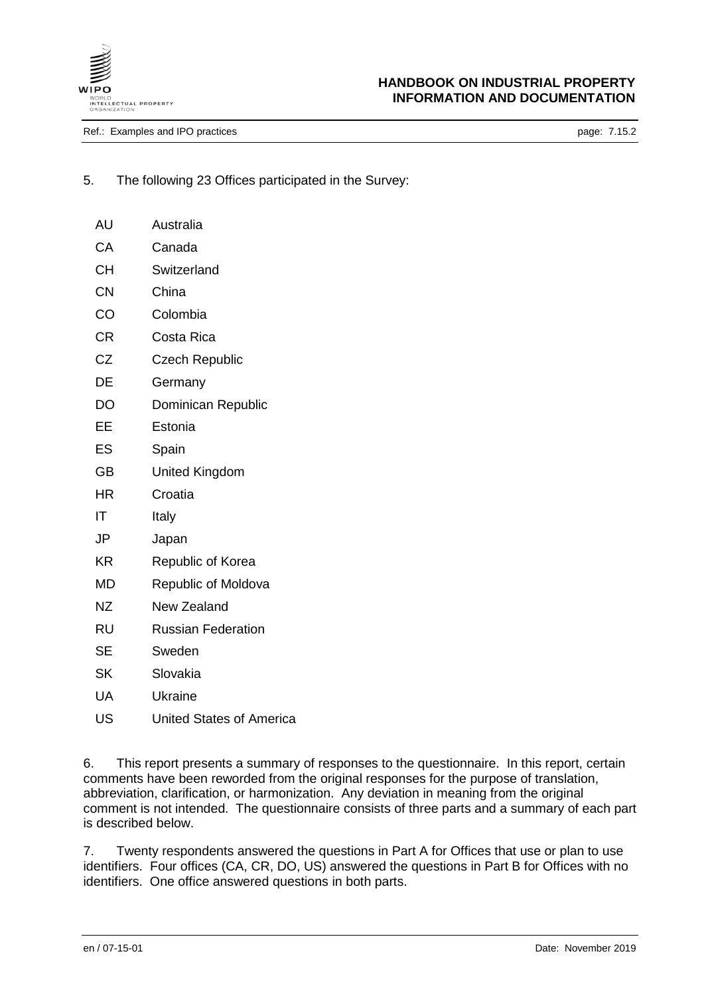

Ref.: Examples and IPO practices **page: 7.15.2** page: 7.15.2

AU Australia

- 5. The following 23 Offices participated in the Survey:
	- CA Canada CH Switzerland CN China CO Colombia CR Costa Rica CZ Czech Republic DE Germany DO Dominican Republic EE Estonia ES Spain GB United Kingdom HR Croatia IT Italy JP Japan KR Republic of Korea MD Republic of Moldova NZ New Zealand RU Russian Federation
	- SE Sweden
	- SK Slovakia
	- UA Ukraine
	- US United States of America

6. This report presents a summary of responses to the questionnaire. In this report, certain comments have been reworded from the original responses for the purpose of translation, abbreviation, clarification, or harmonization. Any deviation in meaning from the original comment is not intended. The questionnaire consists of three parts and a summary of each part is described below.

7. Twenty respondents answered the questions in Part A for Offices that use or plan to use identifiers. Four offices (CA, CR, DO, US) answered the questions in Part B for Offices with no identifiers. One office answered questions in both parts.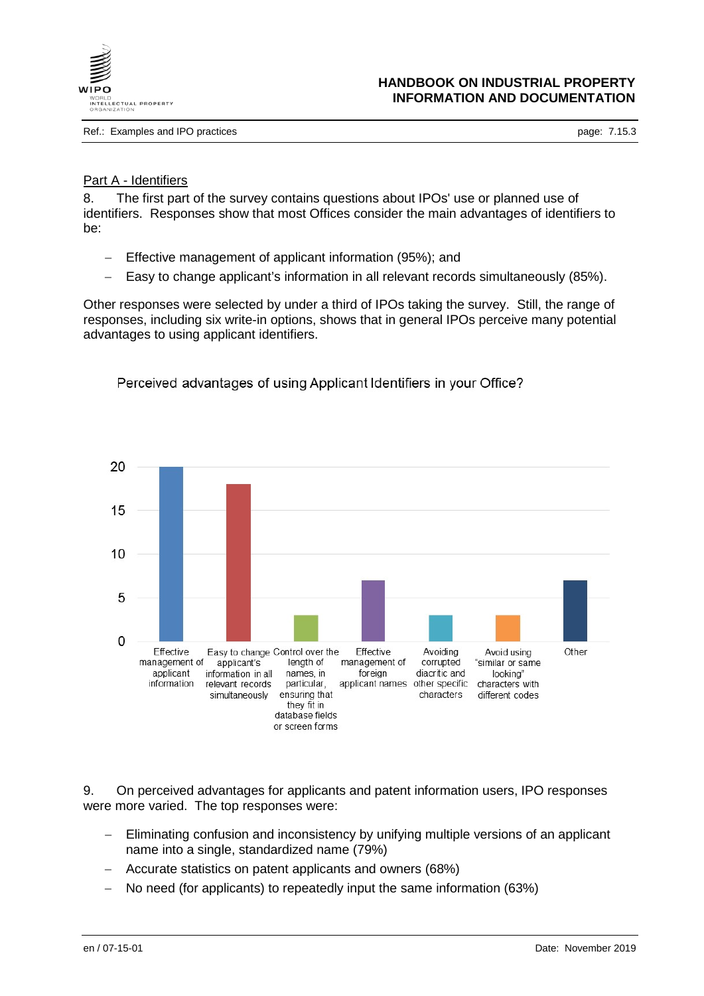

Ref.: Examples and IPO practices **page: 7.15.3** page: 7.15.3

### Part A - Identifiers

8. The first part of the survey contains questions about IPOs' use or planned use of identifiers. Responses show that most Offices consider the main advantages of identifiers to be:

- − Effective management of applicant information (95%); and
- − Easy to change applicant's information in all relevant records simultaneously (85%).

Other responses were selected by under a third of IPOs taking the survey. Still, the range of responses, including six write-in options, shows that in general IPOs perceive many potential advantages to using applicant identifiers.



Perceived advantages of using Applicant Identifiers in your Office?

9. On perceived advantages for applicants and patent information users, IPO responses were more varied. The top responses were:

- − Eliminating confusion and inconsistency by unifying multiple versions of an applicant name into a single, standardized name (79%)
- − Accurate statistics on patent applicants and owners (68%)
- − No need (for applicants) to repeatedly input the same information (63%)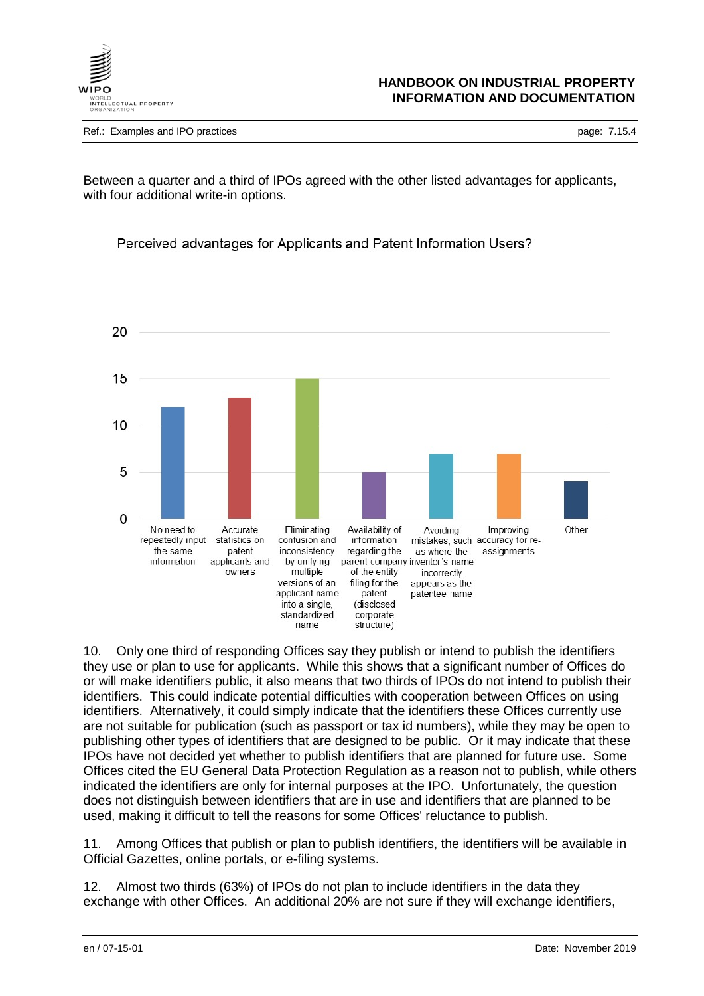

Ref.: Examples and IPO practices **page: 7.15.4** and intervals and intervals and intervals and intervals and intervals and intervals and intervals and intervals and intervals and intervals and intervals and intervals and in

Between a quarter and a third of IPOs agreed with the other listed advantages for applicants, with four additional write-in options.





10. Only one third of responding Offices say they publish or intend to publish the identifiers they use or plan to use for applicants. While this shows that a significant number of Offices do or will make identifiers public, it also means that two thirds of IPOs do not intend to publish their identifiers. This could indicate potential difficulties with cooperation between Offices on using identifiers. Alternatively, it could simply indicate that the identifiers these Offices currently use are not suitable for publication (such as passport or tax id numbers), while they may be open to publishing other types of identifiers that are designed to be public. Or it may indicate that these IPOs have not decided yet whether to publish identifiers that are planned for future use. Some Offices cited the EU General Data Protection Regulation as a reason not to publish, while others indicated the identifiers are only for internal purposes at the IPO. Unfortunately, the question does not distinguish between identifiers that are in use and identifiers that are planned to be used, making it difficult to tell the reasons for some Offices' reluctance to publish.

11. Among Offices that publish or plan to publish identifiers, the identifiers will be available in Official Gazettes, online portals, or e-filing systems.

12. Almost two thirds (63%) of IPOs do not plan to include identifiers in the data they exchange with other Offices. An additional 20% are not sure if they will exchange identifiers,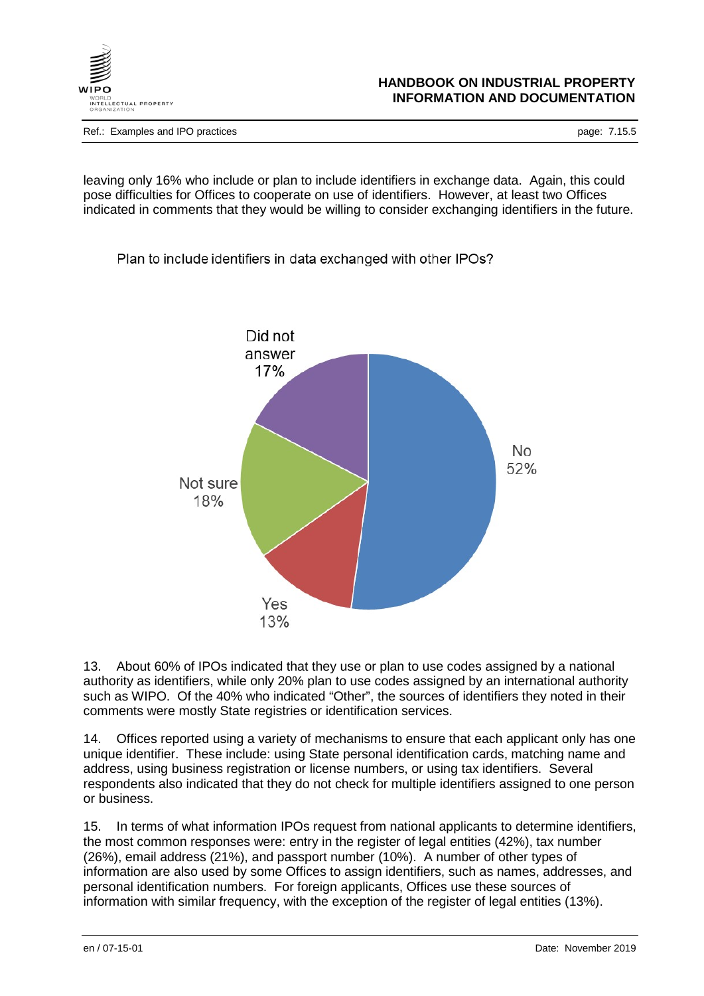

Ref.: Examples and IPO practices **page: 7.15.5** page: 7.15.5

leaving only 16% who include or plan to include identifiers in exchange data. Again, this could pose difficulties for Offices to cooperate on use of identifiers. However, at least two Offices indicated in comments that they would be willing to consider exchanging identifiers in the future.

Plan to include identifiers in data exchanged with other IPOs?



13. About 60% of IPOs indicated that they use or plan to use codes assigned by a national authority as identifiers, while only 20% plan to use codes assigned by an international authority such as WIPO. Of the 40% who indicated "Other", the sources of identifiers they noted in their comments were mostly State registries or identification services.

14. Offices reported using a variety of mechanisms to ensure that each applicant only has one unique identifier. These include: using State personal identification cards, matching name and address, using business registration or license numbers, or using tax identifiers. Several respondents also indicated that they do not check for multiple identifiers assigned to one person or business.

15. In terms of what information IPOs request from national applicants to determine identifiers, the most common responses were: entry in the register of legal entities (42%), tax number (26%), email address (21%), and passport number (10%). A number of other types of information are also used by some Offices to assign identifiers, such as names, addresses, and personal identification numbers. For foreign applicants, Offices use these sources of information with similar frequency, with the exception of the register of legal entities (13%).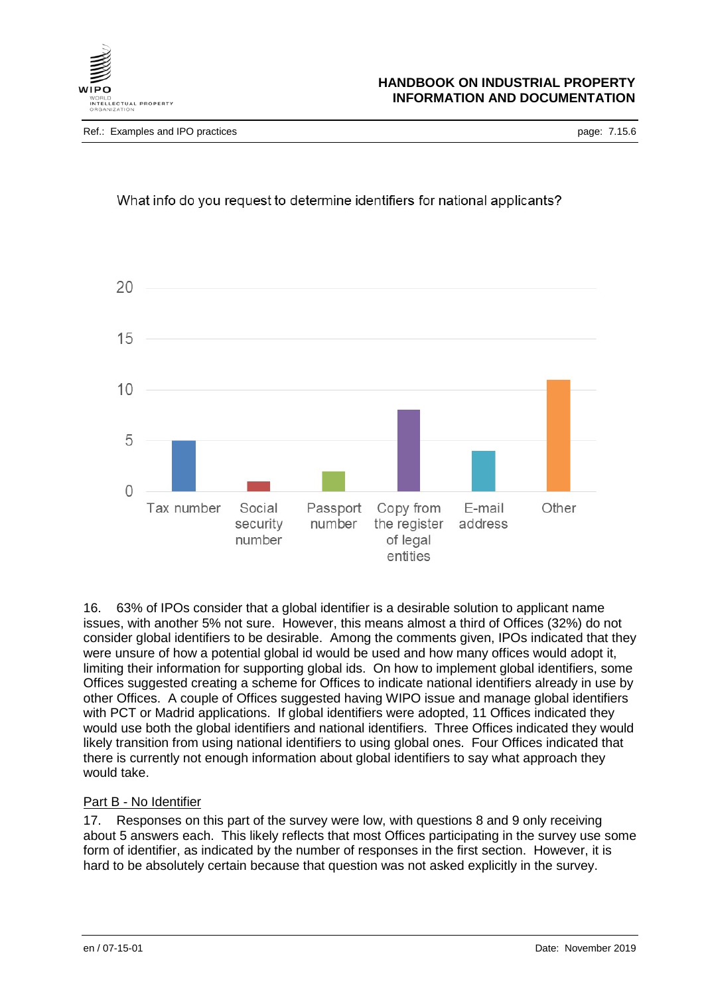

# What info do you request to determine identifiers for national applicants?



16. 63% of IPOs consider that a global identifier is a desirable solution to applicant name issues, with another 5% not sure. However, this means almost a third of Offices (32%) do not consider global identifiers to be desirable. Among the comments given, IPOs indicated that they were unsure of how a potential global id would be used and how many offices would adopt it, limiting their information for supporting global ids. On how to implement global identifiers, some Offices suggested creating a scheme for Offices to indicate national identifiers already in use by other Offices. A couple of Offices suggested having WIPO issue and manage global identifiers with PCT or Madrid applications. If global identifiers were adopted, 11 Offices indicated they would use both the global identifiers and national identifiers. Three Offices indicated they would likely transition from using national identifiers to using global ones. Four Offices indicated that there is currently not enough information about global identifiers to say what approach they would take.

## Part B - No Identifier

17. Responses on this part of the survey were low, with questions 8 and 9 only receiving about 5 answers each. This likely reflects that most Offices participating in the survey use some form of identifier, as indicated by the number of responses in the first section. However, it is hard to be absolutely certain because that question was not asked explicitly in the survey.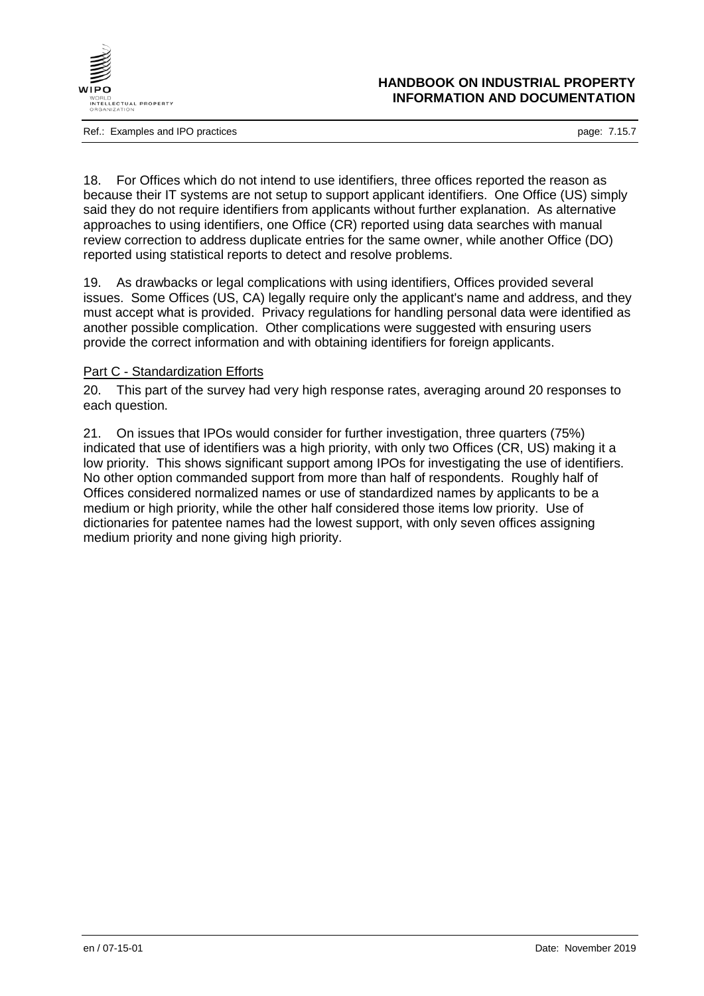

Ref.: Examples and IPO practices **page: 7.15.7** and intervals and intervals and intervals and intervals and intervals and intervals and intervals and intervals and intervals are page: 7.15.7

### **HANDBOOK ON INDUSTRIAL PROPERTY INFORMATION AND DOCUMENTATION**

18. For Offices which do not intend to use identifiers, three offices reported the reason as because their IT systems are not setup to support applicant identifiers. One Office (US) simply said they do not require identifiers from applicants without further explanation. As alternative approaches to using identifiers, one Office (CR) reported using data searches with manual review correction to address duplicate entries for the same owner, while another Office (DO) reported using statistical reports to detect and resolve problems.

19. As drawbacks or legal complications with using identifiers, Offices provided several issues. Some Offices (US, CA) legally require only the applicant's name and address, and they must accept what is provided. Privacy regulations for handling personal data were identified as another possible complication. Other complications were suggested with ensuring users provide the correct information and with obtaining identifiers for foreign applicants.

# Part C - Standardization Efforts

20. This part of the survey had very high response rates, averaging around 20 responses to each question.

21. On issues that IPOs would consider for further investigation, three quarters (75%) indicated that use of identifiers was a high priority, with only two Offices (CR, US) making it a low priority. This shows significant support among IPOs for investigating the use of identifiers. No other option commanded support from more than half of respondents. Roughly half of Offices considered normalized names or use of standardized names by applicants to be a medium or high priority, while the other half considered those items low priority. Use of dictionaries for patentee names had the lowest support, with only seven offices assigning medium priority and none giving high priority.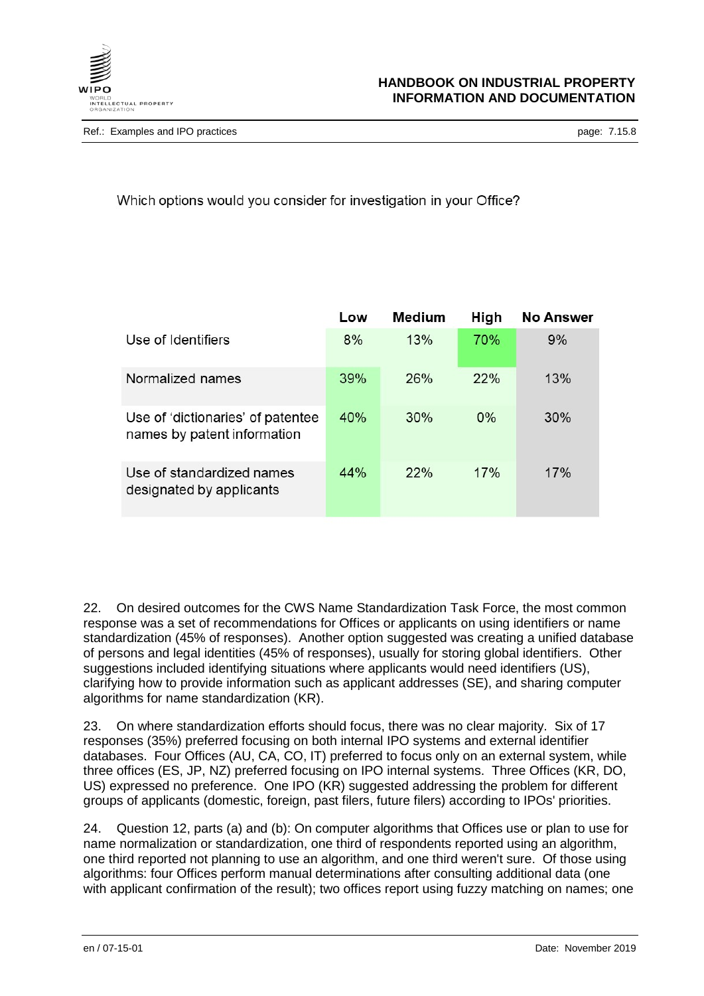

Ref.: Examples and IPO practices **page: 7.15.8** page: 7.15.8

# Which options would you consider for investigation in your Office?

|                                                                  | Low | <b>Medium</b> | High  | <b>No Answer</b> |
|------------------------------------------------------------------|-----|---------------|-------|------------------|
| Use of Identifiers                                               | 8%  | 13%           | 70%   | 9%               |
| Normalized names                                                 | 39% | 26%           | 22%   | 13%              |
| Use of 'dictionaries' of patentee<br>names by patent information | 40% | 30%           | $0\%$ | 30%              |
| Use of standardized names<br>designated by applicants            | 44% | 22%           | 17%   | 17%              |

22. On desired outcomes for the CWS Name Standardization Task Force, the most common response was a set of recommendations for Offices or applicants on using identifiers or name standardization (45% of responses). Another option suggested was creating a unified database of persons and legal identities (45% of responses), usually for storing global identifiers. Other suggestions included identifying situations where applicants would need identifiers (US), clarifying how to provide information such as applicant addresses (SE), and sharing computer algorithms for name standardization (KR).

23. On where standardization efforts should focus, there was no clear majority. Six of 17 responses (35%) preferred focusing on both internal IPO systems and external identifier databases. Four Offices (AU, CA, CO, IT) preferred to focus only on an external system, while three offices (ES, JP, NZ) preferred focusing on IPO internal systems. Three Offices (KR, DO, US) expressed no preference. One IPO (KR) suggested addressing the problem for different groups of applicants (domestic, foreign, past filers, future filers) according to IPOs' priorities.

24. Question 12, parts (a) and (b): On computer algorithms that Offices use or plan to use for name normalization or standardization, one third of respondents reported using an algorithm, one third reported not planning to use an algorithm, and one third weren't sure. Of those using algorithms: four Offices perform manual determinations after consulting additional data (one with applicant confirmation of the result); two offices report using fuzzy matching on names; one